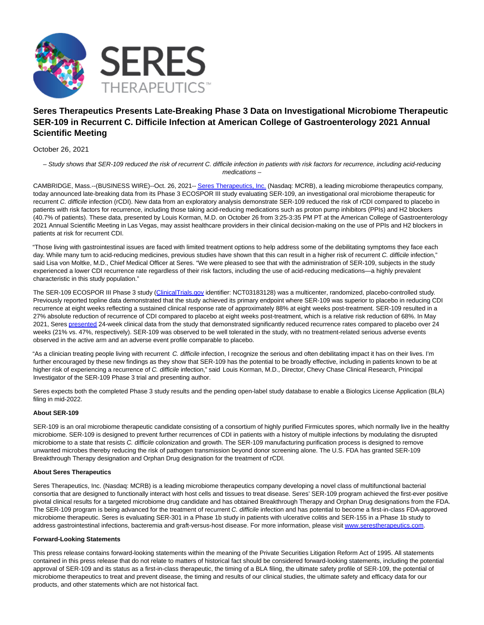

## **Seres Therapeutics Presents Late-Breaking Phase 3 Data on Investigational Microbiome Therapeutic SER-109 in Recurrent C. Difficile Infection at American College of Gastroenterology 2021 Annual Scientific Meeting**

October 26, 2021

– Study shows that SER-109 reduced the risk of recurrent C. difficile infection in patients with risk factors for recurrence, including acid-reducing medications –

CAMBRIDGE, Mass.--(BUSINESS WIRE)--Oct. 26, 2021-[- Seres Therapeutics, Inc. \(](https://cts.businesswire.com/ct/CT?id=smartlink&url=http%3A%2F%2Fwww.serestherapeutics.com%2F&esheet=52514853&newsitemid=20211026005194&lan=en-US&anchor=Seres+Therapeutics%2C+Inc.&index=1&md5=3ddeb52da1d62deadc54358328524dde)Nasdaq: MCRB), a leading microbiome therapeutics company, today announced late-breaking data from its Phase 3 ECOSPOR III study evaluating SER-109, an investigational oral microbiome therapeutic for recurrent C. difficile infection (rCDI). New data from an exploratory analysis demonstrate SER-109 reduced the risk of rCDI compared to placebo in patients with risk factors for recurrence, including those taking acid-reducing medications such as proton pump inhibitors (PPIs) and H2 blockers (40.7% of patients). These data, presented by Louis Korman, M.D. on October 26 from 3:25-3:35 PM PT at the American College of Gastroenterology 2021 Annual Scientific Meeting in Las Vegas, may assist healthcare providers in their clinical decision-making on the use of PPIs and H2 blockers in patients at risk for recurrent CDI.

"Those living with gastrointestinal issues are faced with limited treatment options to help address some of the debilitating symptoms they face each day. While many turn to acid-reducing medicines, previous studies have shown that this can result in a higher risk of recurrent C. difficile infection," said Lisa von Moltke, M.D., Chief Medical Officer at Seres. "We were pleased to see that with the administration of SER-109, subjects in the study experienced a lower CDI recurrence rate regardless of their risk factors, including the use of acid-reducing medications—a highly prevalent characteristic in this study population."

The SER-109 ECOSPOR III Phase 3 study [\(ClinicalTrials.gov i](https://cts.businesswire.com/ct/CT?id=smartlink&url=https%3A%2F%2Fshared.outlook.inky.com%2Flink%3Fdomain%3Dcts.businesswire.com%26t%3DeyJ0eXAiOiJKV1QiLCJhbGciOiJFUzI1NiJ9.eJx1UWFr2zAQ_S-G-lOWOHLcpAHRhpSMjiVmzJlxCISzdKlUy3ImyXHqsf8-eYx9K-hAvLv3uHfvV-AQasmDZSC1M8CbYDT80GhQwfIMyuIoQN-uQGrbNcaJJ4sGrRNo4IKtk8yOWVN73qDyUa81Xi4Qzl3s8jg5Tpiz47K1UqO1nTQ4jA3ocbLOHiWntgbjlNRV6Jl04N3Fqzuy8Y95WDJQzki_3vi1uXowRCsQHU3ILI4X82mosbPSofdGSUSmUeIrSuKHWahAU9Sf9t9D0Ew0hq7_CWb_BUOpOd4oCWue0DK-j-aMMGCMzRHOJbCYL1i0mN_D9Dwrvbt0Hyx1q9QocMIguJPCK3rDkT_mcBXIk4jVm6p8f_hZEtF-rb9cWLwTkN9sSZIVJz96vk7eShJdi-yl32ZFf8gPavvMq4JsRPp5nxT9_nbIqi7Nd3VRH0SRv1yHuW3Gbrt-FaXrWZx-o3Q4tk_hhDVIdQLOfSDW7_DWCD0upbUeVo1-6nxOf8P5_QedyLBi.MEUCIBAzDc9k9-5oRnlrXGT3K7t-AuVanPCwy1NHYy2shvM_AiEA3qFuw-5CkhOI6yW_RLhLuH4s1--SmwYzbK8Uha20HOM&esheet=52514853&newsitemid=20211026005194&lan=en-US&anchor=ClinicalTrials.gov&index=2&md5=34304ff5b10f7fc7e1b34fbc0f0419f5)dentifier: NCT03183128) was a multicenter, randomized, placebo-controlled study. Previously reported topline data demonstrated that the study achieved its primary endpoint where SER-109 was superior to placebo in reducing CDI recurrence at eight weeks reflecting a sustained clinical response rate of approximately 88% at eight weeks post-treatment. SER-109 resulted in a 27% absolute reduction of recurrence of CDI compared to placebo at eight weeks post-treatment, which is a relative risk reduction of 68%. In May 2021, Seres [presented 2](https://cts.businesswire.com/ct/CT?id=smartlink&url=https%3A%2F%2Fshared.outlook.inky.com%2Flink%3Fdomain%3Dcts.businesswire.com%26t%3DeyJ0eXAiOiJKV1QiLCJhbGciOiJFUzI1NiJ9.eJx1UdGO2jAQ_JdIlycCiUOugBT1EBXVVQVUNRQFIaFNvCf7sB3qNYRL1X-vg_pQVa3kB-_szo498yNwCFryYBZI4yzwJhj0N7QGVDB7AUU4CNC3TyANtY114onQIjmBFs54cbKmYd1oz-u3_K93sX5dIJw70-wwOoxqR8PqQtIgUSst9mM9ehgtiveS56TBOiXNKfTM_M57SOcPbOmPtMN_yviWwZYiiwqBkP6qI44OpOrhOz36kx-dPYLGUcTBQQS1bYgi6evKNsAjLT1SyUZjiCQQXZ6x8bt4nE3DXkM69C7mLGZJPInTOM7GSRIqMDmaaPs1BFOLxua_RZCH0nC85SzUPMuBs2lSvyQ8STF5BMYn00fkOPEV5_U09fZttsHMXJQaBE5YBHdUeEXvaOzT6m2HXRbXenmq3qbfKyYun_Wnc52uBexuVLFsztm3ji-y14rF17J47lZF2e13e7X6wE8lW4rNx21Wdtvbvji1m91al3ovyt3ztZ9bFfVt3c3jzWKcbr7keZ-mN_CI2rt5BM79p8i_4bURZlhJIg-rxjy1PqF7-j9_Acxb1VA.MEUCIQD8Bq48G6y3N9DMHhgTbt_cfmRUjdAMw01FoXbjA3qFlAIgJXP9orduVQQJTdJYEqPIA542bM08Ca6sz98IvXL0ZeY&esheet=52514853&newsitemid=20211026005194&lan=en-US&anchor=presented&index=3&md5=b47fd586aee80f3a904b7b82513bbf3a)4-week clinical data from the study that demonstrated significantly reduced recurrence rates compared to placebo over 24 weeks (21% vs. 47%, respectively). SER-109 was observed to be well tolerated in the study, with no treatment-related serious adverse events observed in the active arm and an adverse event profile comparable to placebo.

"As a clinician treating people living with recurrent C. difficile infection, I recognize the serious and often debilitating impact it has on their lives. I'm further encouraged by these new findings as they show that SER-109 has the potential to be broadly effective, including in patients known to be at higher risk of experiencing a recurrence of C. difficile infection," said Louis Korman, M.D., Director, Chevy Chase Clinical Research, Principal Investigator of the SER-109 Phase 3 trial and presenting author.

Seres expects both the completed Phase 3 study results and the pending open-label study database to enable a Biologics License Application (BLA) filing in mid-2022.

## **About SER-109**

SER-109 is an oral microbiome therapeutic candidate consisting of a consortium of highly purified Firmicutes spores, which normally live in the healthy microbiome. SER-109 is designed to prevent further recurrences of CDI in patients with a history of multiple infections by modulating the disrupted microbiome to a state that resists C. difficile colonization and growth. The SER-109 manufacturing purification process is designed to remove unwanted microbes thereby reducing the risk of pathogen transmission beyond donor screening alone. The U.S. FDA has granted SER-109 Breakthrough Therapy designation and Orphan Drug designation for the treatment of rCDI.

## **About Seres Therapeutics**

Seres Therapeutics, Inc. (Nasdaq: MCRB) is a leading microbiome therapeutics company developing a novel class of multifunctional bacterial consortia that are designed to functionally interact with host cells and tissues to treat disease. Seres' SER-109 program achieved the first-ever positive pivotal clinical results for a targeted microbiome drug candidate and has obtained Breakthrough Therapy and Orphan Drug designations from the FDA. The SER-109 program is being advanced for the treatment of recurrent C. difficile infection and has potential to become a first-in-class FDA-approved microbiome therapeutic. Seres is evaluating SER-301 in a Phase 1b study in patients with ulcerative colitis and SER-155 in a Phase 1b study to address gastrointestinal infections, bacteremia and graft-versus-host disease. For more information, please visi[t www.serestherapeutics.com.](https://cts.businesswire.com/ct/CT?id=smartlink&url=http%3A%2F%2Fwww.serestherapeutics.com&esheet=52514853&newsitemid=20211026005194&lan=en-US&anchor=www.serestherapeutics.com&index=4&md5=e9986ec322d67d318d2a2710c2034b62)

## **Forward-Looking Statements**

This press release contains forward-looking statements within the meaning of the Private Securities Litigation Reform Act of 1995. All statements contained in this press release that do not relate to matters of historical fact should be considered forward-looking statements, including the potential approval of SER-109 and its status as a first-in-class therapeutic, the timing of a BLA filing, the ultimate safety profile of SER-109, the potential of microbiome therapeutics to treat and prevent disease, the timing and results of our clinical studies, the ultimate safety and efficacy data for our products, and other statements which are not historical fact.